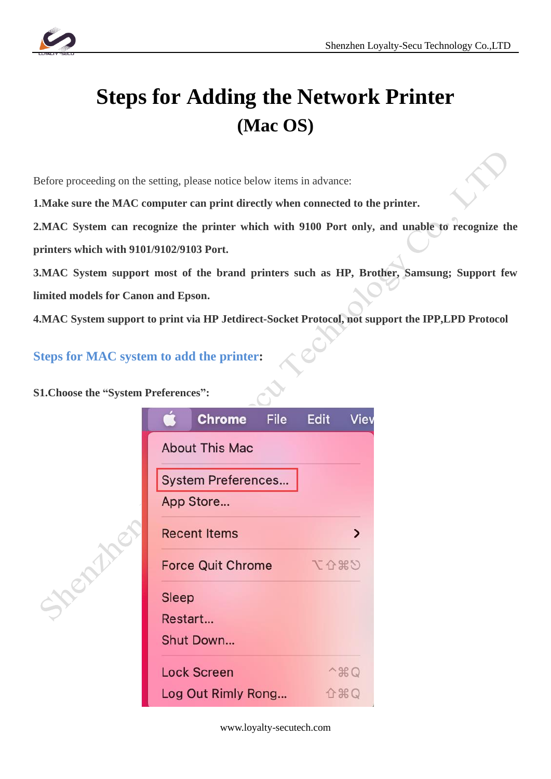

## **Steps for Adding the Network Printer (Mac OS)**

Before proceeding on the setting, please notice below items in advance:

**1.Make sure the MAC computer can print directly when connected to the printer.**

**2.MAC System can recognize the printer which with 9100 Port only, and unable to recognize the printers which with 9101/9102/9103 Port.**

**3.MAC System support most of the brand printers such as HP, Brother, Samsung; Support few limited models for Canon and Epson.**

**4.MAC System support to print via HP Jetdirect-Socket Protocol, not support the IPP,LPD Protocol**

**Steps for MAC system to add the printer:**

**S1.Choose the "System Preferences":** 

**Hendy** 



www.loyalty-secutech.com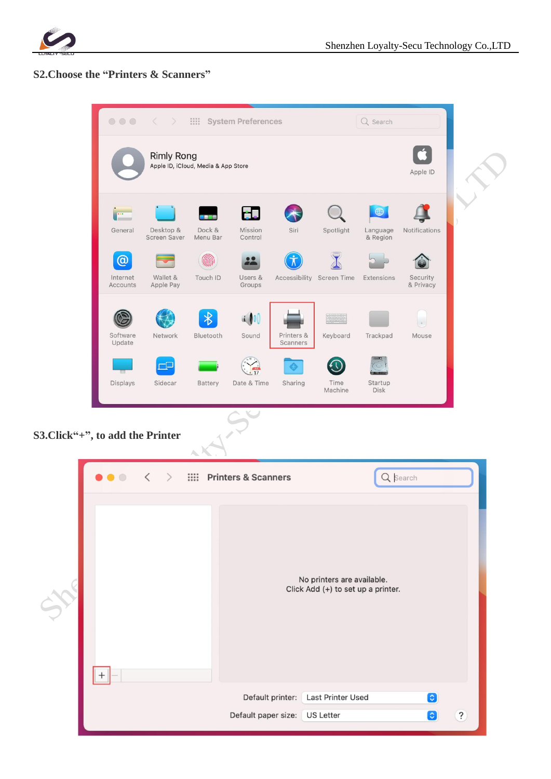

## **S2. Choose the "Printers & Scanners"**

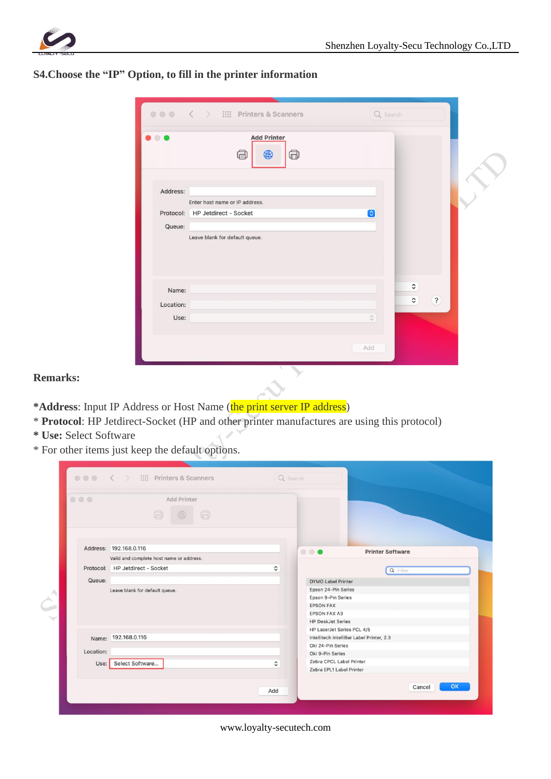

| S4. Choose the "IP" Option, to fill in the printer information |  |  |  |  |
|----------------------------------------------------------------|--|--|--|--|
|----------------------------------------------------------------|--|--|--|--|

| $\begin{array}{ccccc}\n\bullet & \bullet & \bullet & \bullet & \bullet & \bullet\n\end{array}$ | $\langle \rangle$ = $\langle \rangle$ = $\langle \rangle$ = Printers & Scanners | Q Search            |                                                |
|------------------------------------------------------------------------------------------------|---------------------------------------------------------------------------------|---------------------|------------------------------------------------|
| Œ.                                                                                             | <b>Add Printer</b><br>❺<br>$\bigoplus$<br>đ                                     |                     |                                                |
| Address:                                                                                       |                                                                                 |                     |                                                |
|                                                                                                | Enter host name or IP address.                                                  |                     |                                                |
| Protocol:                                                                                      | HP Jetdirect - Socket                                                           | G                   |                                                |
| Queue:                                                                                         |                                                                                 |                     |                                                |
|                                                                                                | Leave blank for default queue.                                                  |                     |                                                |
| Name:                                                                                          |                                                                                 |                     | $\hat{\mathbf{v}}$                             |
| Location:                                                                                      |                                                                                 |                     | $\overline{\mathcal{E}}$<br>$\hat{\mathbf{v}}$ |
| Use:                                                                                           |                                                                                 | $\hat{\mathcal{C}}$ |                                                |
|                                                                                                |                                                                                 | Add                 |                                                |

## **Remarks:**

- \*Address: Input IP Address or Host Name (*the print server IP address*)
- \* **Protocol**: HP Jetdirect-Socket (HP and other printer manufactures are using this protocol)
- **\* Use:** Select Software
- \* For other items just keep the default options.

| $\circ\circ\circ$ | Add Printer                              |                    |                                                        |  |
|-------------------|------------------------------------------|--------------------|--------------------------------------------------------|--|
|                   | ā<br>同                                   |                    |                                                        |  |
|                   | Address: 192.168.0.116                   |                    | $\bullet\bullet\bullet$<br><b>Printer Software</b>     |  |
|                   | Valid and complete host name or address. |                    |                                                        |  |
|                   | Protocol: HP Jetdirect - Socket          | $\hat{\mathbf{v}}$ | Q Filter                                               |  |
| Queue:            |                                          |                    | <b>DYMO Label Printer</b>                              |  |
|                   | Leave blank for default queue.           |                    | Epson 24-Pin Series                                    |  |
|                   |                                          |                    | Epson 9-Pin Series                                     |  |
|                   |                                          |                    | <b>EPSON FAX</b>                                       |  |
|                   |                                          |                    | <b>EPSON FAX A3</b>                                    |  |
|                   |                                          |                    | <b>HP DeskJet Series</b><br>HP LaserJet Series PCL 4/5 |  |
|                   | Name: 192.168.0.116                      |                    | Intellitech IntelliBar Label Printer, 2.3              |  |
|                   |                                          |                    | Oki 24-Pin Series                                      |  |
| Location:         |                                          |                    | Oki 9-Pin Series                                       |  |
|                   | Use: Select Software                     | ≎                  | Zebra CPCL Label Printer                               |  |
|                   |                                          |                    | Zebra EPL1 Label Printer                               |  |
|                   |                                          |                    |                                                        |  |

www.loyalty-secutech.com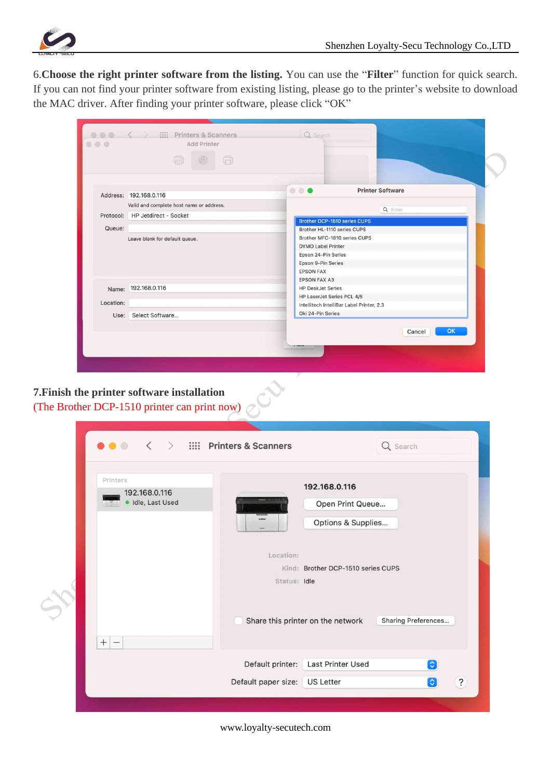

6.**Choose the right printer software from the listing.** You can use the "**Filter**" function for quick search. If you can not find your printer software from existing listing, please go to the printer's website to download the MAC driver. After finding your printer software, please click "OK"

|           | ā<br>⊕<br>$\Box$                         |                                                             |
|-----------|------------------------------------------|-------------------------------------------------------------|
|           | Address: 192.168.0.116                   | <b>Printer Software</b><br>                                 |
|           | Valid and complete host name or address. | Q Filter                                                    |
|           | Protocol: HP Jetdirect - Socket          |                                                             |
| Queue:    |                                          | Brother DCP-1510 series CUPS                                |
|           |                                          | Brother HL-1110 series CUPS<br>Brother MFC-1810 series CUPS |
|           | Leave blank for default queue.           | <b>DYMO Label Printer</b>                                   |
|           |                                          | Epson 24-Pin Series                                         |
|           |                                          | Epson 9-Pin Series                                          |
|           |                                          | <b>EPSON FAX</b>                                            |
|           |                                          | <b>EPSON FAX A3</b>                                         |
| Name:     | 192.168.0.116                            | <b>HP DeskJet Series</b>                                    |
| Location: |                                          | HP LaserJet Series PCL 4/5                                  |
|           |                                          | Intellitech IntelliBar Label Printer, 2.3                   |
| Use:      | Select Software                          | Oki 24-Pin Series                                           |
|           |                                          | OK                                                          |
|           |                                          | Cancel                                                      |

 $\Diamond$ 

## **7.Finish the printer software installation** (The Brother DCP-1510 printer can print now)

|  | $\prec$<br>$\bullet\bullet\circ$               | $\ge$ $\frac{1}{2}$ Printers & Scanners                                                                                              | Q Search                              |                          |
|--|------------------------------------------------|--------------------------------------------------------------------------------------------------------------------------------------|---------------------------------------|--------------------------|
|  | Printers<br>192.168.0.116<br>· Idle, Last Used | 192.168.0.116<br>Open Print Queue<br>tycery<br>Options & Supplies<br>Location:<br>Kind: Brother DCP-1510 series CUPS<br>Status: Idle |                                       |                          |
|  | $^{+}$                                         | Share this printer on the network                                                                                                    | Sharing Preferences                   |                          |
|  |                                                | Default printer:                                                                                                                     | <b>Last Printer Used</b><br>$\bullet$ |                          |
|  |                                                | Default paper size:                                                                                                                  | <b>US Letter</b><br>€                 | $\overline{\mathcal{E}}$ |
|  |                                                |                                                                                                                                      |                                       |                          |

www.loyalty-secutech.com